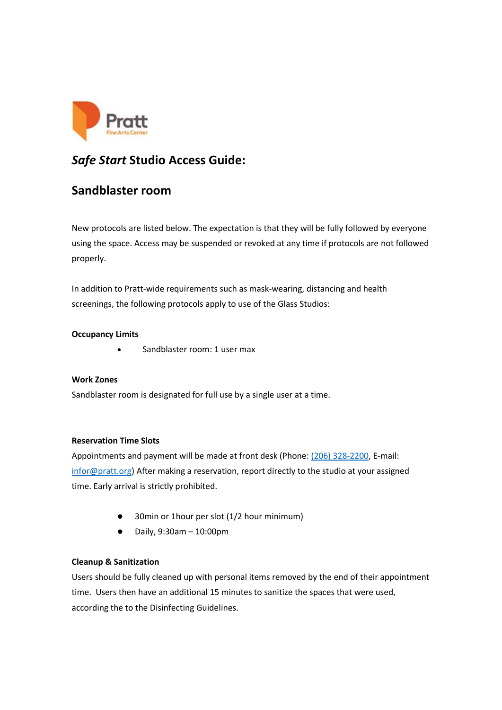

# *Safe Start* **Studio Access Guide:**

## **Sandblaster room**

New protocols are listed below. The expectation is that they will be fully followed by everyone using the space. Access may be suspended or revoked at any time if protocols are not followed properly.

In addition to Pratt-wide requirements such as mask-wearing, distancing and health screenings, the following protocols apply to use of the Glass Studios:

## **Occupancy Limits**

• Sandblaster room: 1 user max

## **Work Zones**

Sandblaster room is designated for full use by a single user at a time.

#### **Reservation Time Slots**

Appointments and payment will be made at front desk (Phone: [\(206\) 328-2200,](https://www.google.com/search?q=pratt+fice+arts+center&rlz=1C1CHZL_enUS747US747&oq=pratt+fice+arts+center&aqs=chrome..69i57j0i19l3.4700j0j7&sourceid=chrome&ie=UTF-8) E-mail: [infor@pratt.org\)](mailto:infor@pratt.org) After making a reservation, report directly to the studio at your assigned time. Early arrival is strictly prohibited.

- ⚫ 30min or 1hour per slot (1/2 hour minimum)
- ⚫ Daily, 9:30am 10:00pm

#### **Cleanup & Sanitization**

Users should be fully cleaned up with personal items removed by the end of their appointment time.  Users then have an additional 15 minutes to sanitize the spaces that were used, according the to the Disinfecting Guidelines.